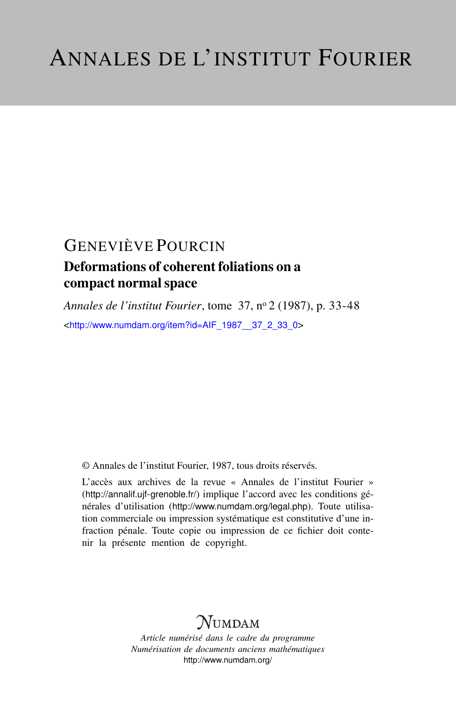### Deformations of coherent foliations on a compact normal space

*Annales de l'institut Fourier*, tome 37, n<sup>o</sup> 2 (1987), p. 33-48 <[http://www.numdam.org/item?id=AIF\\_1987\\_\\_37\\_2\\_33\\_0](http://www.numdam.org/item?id=AIF_1987__37_2_33_0)>

© Annales de l'institut Fourier, 1987, tous droits réservés.

L'accès aux archives de la revue « Annales de l'institut Fourier » (<http://annalif.ujf-grenoble.fr/>) implique l'accord avec les conditions générales d'utilisation (<http://www.numdam.org/legal.php>). Toute utilisation commerciale ou impression systématique est constitutive d'une infraction pénale. Toute copie ou impression de ce fichier doit contenir la présente mention de copyright.

## NUMDAM

*Article numérisé dans le cadre du programme Numérisation de documents anciens mathématiques* <http://www.numdam.org/>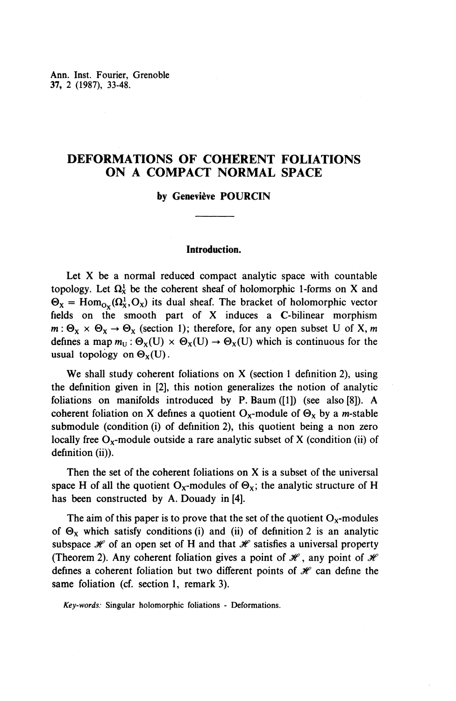Ann. Inst. Fourier, Grenoble 37, 2 (1987), 33-48.

### **DEFORMATIONS OF COHERENT FOLIATIONS ON A COMPACT NORMAL SPACE**

#### **by Geneviève POURCIN**

#### **Introduction.**

Let X be a normal reduced compact analytic space with countable topology. Let  $\Omega^1_X$  be the coherent sheaf of holomorphic 1-forms on X and  $\Theta_{\rm X}$  = Hom<sub>ov</sub>( $\Omega_{\rm X}^1$ ,  $\Omega_{\rm X}$ ) its dual sheaf. The bracket of holomorphic vector fields on the smooth part of X induces a C-bilinear morphism  $m: \Theta_{x} \times \Theta_{x} \rightarrow \Theta_{x}$  (section 1); therefore, for any open subset U of X, m defines a map  $m_U : \Theta_X(U) \times \Theta_X(U) \to \Theta_X(U)$  which is continuous for the usual topology on  $\Theta_x(U)$ .

**We** shall study coherent foliations on X (section 1 definition 2), using the definition given in [2], this notion generalizes the notion of analytic foliations on manifolds introduced by P. Baum ([1]) (see also [8]). A coherent foliation on X defines a quotient  $O_x$ -module of  $\Theta_x$  by a *m*-stable submodule (condition (i) of definition 2), this quotient being a non zero locally free  $O_x$ -module outside a rare analytic subset of X (condition (ii) of definition (ii)).

Then the set of the coherent foliations on X is a subset of the universal space H of all the quotient O<sub>x</sub>-modules of  $\Theta_x$ ; the analytic structure of H has been constructed by A. Douady in [4].

The aim of this paper is to prove that the set of the quotient  $O_x$ -modules of  $\Theta_x$  which satisfy conditions (i) and (ii) of definition 2 is an analytic subspace  $\mathcal X$  of an open set of H and that  $\mathcal X$  satisfies a universal property (Theorem 2). Any coherent foliation gives a point of  $\mathcal{H}$ , any point of  $\mathcal{H}$ defines a coherent foliation but two different points of  $\mathcal K$  can define the same foliation (cf. section 1, remark 3).

*Key-words:* Singular holomorphic foliations - Deformations.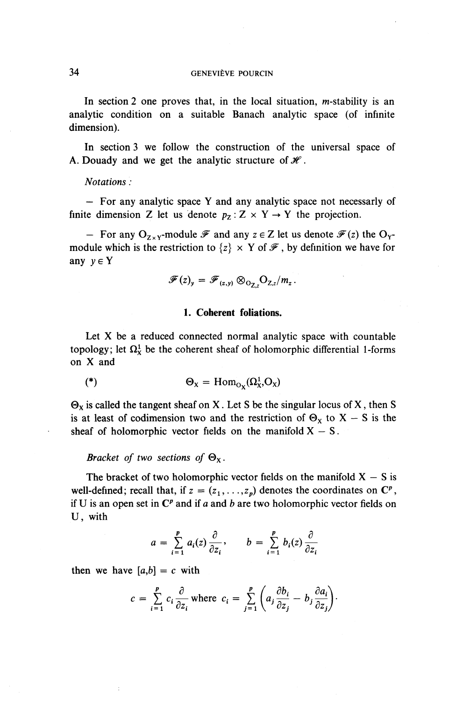In section 2 one proves that, in the local situation,  $m$ -stability is an analytic condition on a suitable Banach analytic space (of infinite dimension).

In section 3 we follow the construction of the universal space of A. Douady and we get the analytic structure of  $\mathcal{H}$ .

#### *Notations :*

*—* For any analytic space Y and any analytic space not necessarly of finite dimension Z let us denote  $p_7$ :  $Z \times Y \rightarrow Y$  the projection.

 $-$  For any O<sub>zyv</sub>-module  $\mathscr F$  and any  $z \in Z$  let us denote  $\mathscr F(z)$  the O<sub>y</sub>module which is the restriction to  $\{z\} \times Y$  of  $\mathcal{F}$ , by definition we have for any  $y \in Y$ 

$$
\mathscr{F}(z)_y = \mathscr{F}_{(z,y)} \otimes_{\mathcal{O}_{\mathbb{Z},z}} \mathcal{O}_{Z,z}/m_z.
$$

#### **1. Coherent foliations.**

Let X be a reduced connected normal analytic space with countable topology; let  $\Omega^1_X$  be the coherent sheaf of holomorphic differential 1-forms on X and

$$
(*)\qquad \Theta_X = \text{Hom}_{O_X}(\Omega^1_X, O_X)
$$

 $\Theta_X$  is called the tangent sheaf on X. Let S be the singular locus of X, then S is at least of codimension two and the restriction of  $\Theta_x$  to X – S is the sheaf of holomorphic vector fields on the manifold  $X - S$ .

*Bracket of two sections of*  $\Theta_{x}$ .

The bracket of two holomorphic vector fields on the manifold  $X - S$  is well-defined; recall that, if  $z = (z_1, \ldots, z_p)$  denotes the coordinates on  $\mathbb{C}^p$ , if U is an open set in  $\mathbb{C}^p$  and if a and b are two holomorphic vector fields on U, with

$$
a = \sum_{i=1}^{p} a_i(z) \frac{\partial}{\partial z_i}, \qquad b = \sum_{i=1}^{p} b_i(z) \frac{\partial}{\partial z_i}
$$

then we have  $[a,b] = c$  with

$$
c = \sum_{i=1}^{p} c_i \frac{\partial}{\partial z_i} \text{ where } c_i = \sum_{j=1}^{p} \left( a_j \frac{\partial b_i}{\partial z_j} - b_j \frac{\partial a_i}{\partial z_j} \right).
$$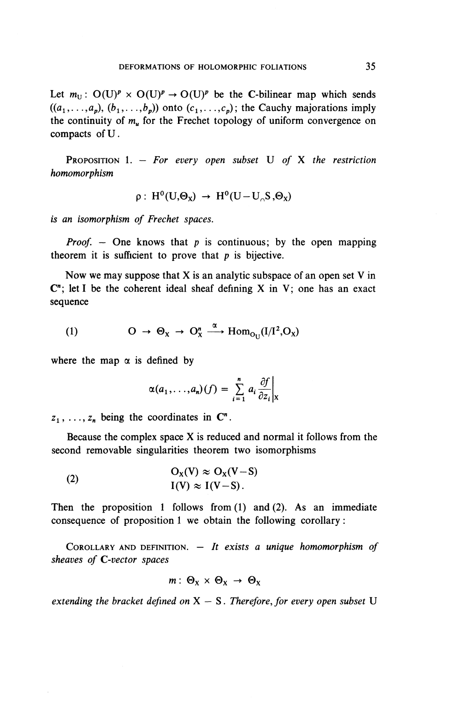Let  $m_U$ :  $O(U)^p \times O(U)^p \rightarrow O(U)^p$  be the C-bilinear map which sends  $((a_1,\ldots,a_p), (b_1,\ldots,b_p))$  onto  $(c_1,\ldots,c_p)$ ; the Cauchy majorations imply the continuity of  $m<sub>u</sub>$  for the Frechet topology of uniform convergence on compacts ofU.

PROPOSITION 1. — *For every open subset* U *of* X *the restriction homomorphism*

$$
\rho: H^0(U,\Theta_X) \to H^0(U-U_{\cap}S,\Theta_X)
$$

15 an *isomorphism of Frechet spaces.*

*Proof. —* **One** knows that *p* is continuous; by the open mapping theorem it is sufficient to prove that  $p$  is bijective.

Now we may suppose that  $X$  is an analytic subspace of an open set  $V$  in  $\mathbb{C}^n$ ; let I be the coherent ideal sheaf defining X in V; one has an exact sequence

(1) 
$$
O \rightarrow \Theta_X \rightarrow O_X^n \xrightarrow{\alpha} \text{Hom}_{O_U}(I/I^2,O_X)
$$

where the map  $\alpha$  is defined by

$$
\alpha(a_1,\ldots,a_n)(f) = \sum_{i=1}^n a_i \frac{\partial f}{\partial z_i}\bigg|_X
$$

 $z_1, \ldots, z_n$  being the coordinates in  $\mathbb{C}^n$ .

Because the complex space X is reduced and normal it follows from the second removable singularities theorem two isomorphisms

(2) 
$$
O_X(V) \approx O_X(V-S)
$$

$$
I(V) \approx I(V-S).
$$

Then the proposition 1 follows from (1) and (2). As an immediate consequence of proposition 1 we obtain the following corollary:

COROLLARY AND DEFINITION. — *It exists a unique homomorphism of sheaves of C-vector spaces*

$$
m: \Theta_X \times \Theta_X \rightarrow \Theta_X
$$

*extending the bracket defined on X — S. Therefore, for every open subset* U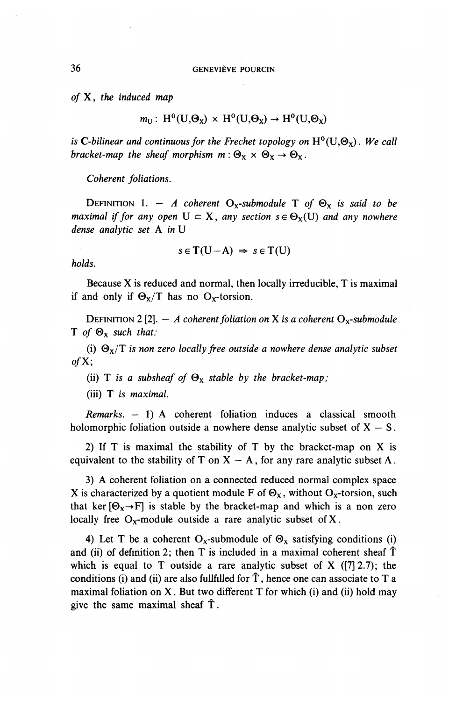*of* X, *the induced map*

$$
m_U
$$
:  $H^0(U,\Theta_X) \times H^0(U,\Theta_X) \to H^0(U,\Theta_X)$ 

is C-bilinear and continuous for the Frechet topology on  $H^0(U,\Theta_x)$ . We call *bracket-map the sheaf morphism*  $m: \Theta_{x} \times \Theta_{x} \rightarrow \Theta_{x}$ .

*Coherent foliations.*

DEFINITION 1. - *A coherent* O<sub>x</sub>-submodule T of  $\Theta_x$  is said to be *maximal if for any open*  $U \subset X$ *, any section*  $s \in \Theta_X(U)$  *and any nowhere dense analytic set* A *in* U

$$
s \in T(U - A) \Rightarrow s \in T(U)
$$

*holds.*

Because X is reduced and normal, then locally irreducible, T is maximal if and only if  $\Theta_x/T$  has no  $O_x$ -torsion.

DEFINITION 2 [2].  $-$  A coherent foliation on X is a coherent O<sub>x</sub>-submodule T *of* **©x** *such that:*

(i) **©x/T** *is non zero locally free outside a nowhere dense analytic subset ofX;*

(ii) T is a subsheaf of  $\Theta_{\rm X}$  stable by the bracket-map;

(iii) T *is maximal.*

*Remarks.* — 1) A coherent foliation induces a classical smooth holomorphic foliation outside a nowhere dense analytic subset of  $X - S$ .

2) If T is maximal the stability of T by the bracket-map on X is equivalent to the stability of T on  $X - A$ , for any rare analytic subset A.

3) A coherent foliation on a connected reduced normal complex space X is characterized by a quotient module F of  $\Theta_X$ , without O<sub>x</sub>-torsion, such that ker  $[\Theta_x \rightarrow F]$  is stable by the bracket-map and which is a non zero locally free  $O_x$ -module outside a rare analytic subset of X.

4) Let T be a coherent O<sub>x</sub>-submodule of  $\Theta_x$  satisfying conditions (i) and (ii) of definition 2; then  $T$  is included in a maximal coherent sheaf  $\hat{T}$ which is equal to T outside a rare analytic subset of X  $([7] 2.7)$ ; the conditions (i) and (ii) are also fullfilled for  $\hat{T}$ , hence one can associate to T a maximal foliation on  $X$ . But two different  $T$  for which (i) and (ii) hold may give the same maximal sheaf T.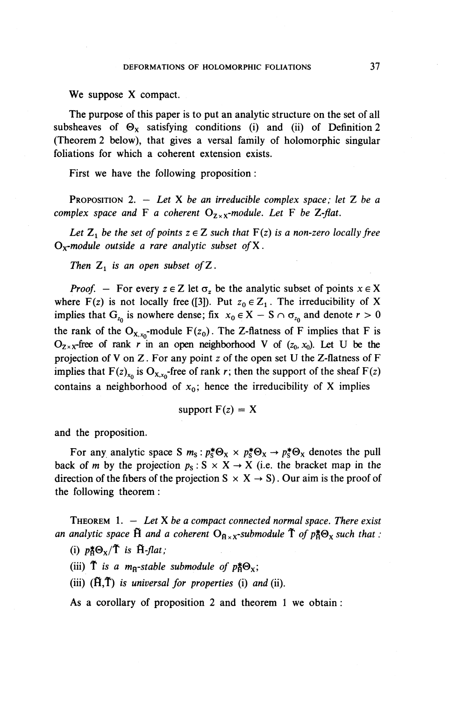**We** suppose X compact.

The purpose of this paper is to put an analytic structure on the set of all subsheaves of  $\Theta_x$  satisfying conditions (i) and (ii) of Definition 2 (Theorem 2 below), that gives a versal family of holomorphic singular foliations for which a coherent extension exists.

First we have the following proposition :

PROPOSITION 2. — *Let* X *be an irreducible complex space; let* Z *be a complex space and* F *a coherent*  $O_{Z \times X}$ *-module. Let* F *be Z-flat.* 

*Let*  $Z_1$  *be the set of points*  $z \in Z$  *such that*  $F(z)$  *is a non-zero locally free Ox-module outside a rare analytic subset ofX.*

*Then*  $Z_1$  *is an open subset of*  $Z$ .

*Proof. –* For every  $z \in Z$  let  $\sigma_z$  be the analytic subset of points  $x \in X$ where F(z) is not locally free ([3]). Put  $z_0 \in Z_1$ . The irreducibility of X implies that  $G_{z_0}$  is nowhere dense; fix  $x_0 \in X - S \cap \sigma_{z_0}$  and denote  $r > 0$ the rank of the O<sub>x,x<sub>0</sub></sub>-module F(z<sub>0</sub>). The Z-flatness of F implies that F is  $O_{Z \times X}$ -free of rank r in an open neighborhood V of ( $z_0$ ,  $x_0$ ). Let U be the projection of V on Z. For any point z of the open set U the Z-flatness of F implies that  $F(z)_{x_0}$  is  $O_{x,x_0}$ -free of rank r; then the support of the sheaf  $F(z)$ contains a neighborhood of  $x_0$ ; hence the irreducibility of X implies

support 
$$
F(z) = X
$$

and the proposition.

For any analytic space S  $m_s : p_s^* \Theta_X \times p_s^* \Theta_X \to p_s^* \Theta_X$  denotes the pull back of *m* by the projection  $p_s$ :  $S \times X \rightarrow X$  (i.e. the bracket map in the direction of the fibers of the projection  $S \times X \rightarrow S$ ). Our aim is the proof of the following theorem:

THEOREM 1. — *Let X be a compact connected normal space. There exist an analytic space*  $\tilde{H}$  *and a coherent*  $O_{\tilde{H} \times X}$ *-submodule*  $\tilde{T}$  *of*  $p_{\tilde{A}}^* \Theta_X$  *such that* 

(i)  $p_{\mathbf{A}}^* \Theta_{\mathbf{X}} / \mathbf{\tilde{T}}$  is  $\tilde{\mathbf{H}}$ -flat;

(iii)  $\tilde{T}$  is a m<sub>B</sub>-stable submodule of  $p_{\tilde{A}}^* \Theta_{\tilde{X}}$ ;

(iii) **(fl,T)** *is universal for properties* (i) *and* (ii).

As a corollary of proposition 2 and theorem 1 we obtain: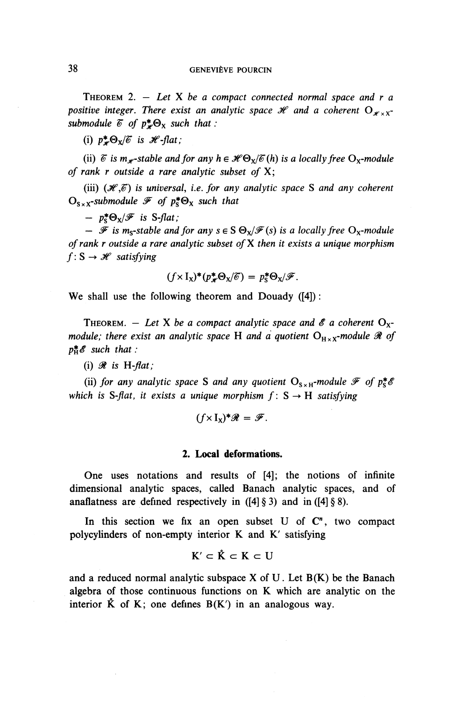THEOREM 2. — *Let* X *be a compact connected normal space and r a positive integer. There exist an analytic space*  $\mathcal{H}$  and a coherent  $O_{\mathcal{L} \times \mathcal{L}^+}$ *submodule*  $\mathcal{C}$  *of*  $p^* \Theta_X$  *such that :* 

(i)  $p^* \Theta_x/\mathscr{C}$  is  $\mathscr{H}$ -flat;

(ii)  $\delta$  is m<sub>x</sub>-stable and for any  $h \in \mathcal{H} \Theta_{\rm Y}/\delta(h)$  is a locally free  $O_{\rm Y}$ -module *of rank r outside a rare analytic subset of* **X;**

(iii)  $(\mathcal{H}, \mathcal{C})$  is universal, i.e. for any analytic space S and any coherent  $\mathbf{O}_{S \times X}$ -submodule  $\mathcal F$  of  $p^*_{S} \Theta_X$  such that

 $- p_s^* \Theta_x / \mathscr{F}$  is S-flat;

*—*  $\mathscr F$  is m<sub>s</sub>-stable and for any  $s \in S \Theta_x / \mathscr F(s)$  is a locally free  $O_x$ -module *of rank r outside a rare analytic subset ofX then it exists a unique morphism*  $f: S \rightarrow \mathcal{H}$  satisfying

$$
(f \times I_X)^*(p^*_{\mathscr{H}} \Theta_X/\mathscr{C}) = p^*_{\mathsf{S}} \Theta_{\mathsf{X}}/\mathscr{F}.
$$

We shall use the following theorem and Douady ([4]):

THEOREM. - Let X be a compact analytic space and  $\mathscr E$  a coherent  $O_x$ *module; there exist an analytic space* H *and a quotient*  $O_{H \times X}$ *-module*  $\Re$  *of*  $p_H^*$  $\mathscr E$  such that :

(i)  $\mathcal R$  is H-flat;

(ii) for any analytic space S and any quotient  $O_{S \times H}$ -module  $\mathscr{F}$  of  $p_S^* \mathscr{E}$ *which is S-flat, it exists a unique morphism*  $f: S \rightarrow H$  *satisfying* 

$$
(f \times I_X)^* \mathscr{R} = \mathscr{F}.
$$

#### **2. Local deformations.**

One uses notations and results of [4]; the notions of infinite dimensional analytic spaces, called Banach analytic spaces, and of anaflatness are defined respectively in  $([4] \S 3)$  and in  $([4] \S 8)$ .

In this section we fix an open subset U of  $\mathbb{C}^n$ , two compact polycylinders of non-empty interior K and K' satisfying

$$
K' \subset \mathring{K} \subset K \subset U
$$

and a reduced normal analytic subspace  $X$  of  $U$ . Let  $B(K)$  be the Banach algebra of those continuous functions on K which are analytic on the interior  $\ddot{K}$  of K; one defines  $B(K')$  in an analogous way.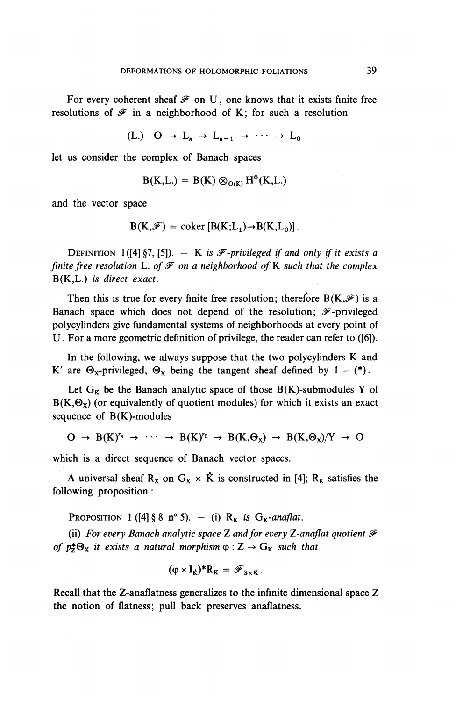For every coherent sheaf  $\mathcal F$  on U, one knows that it exists finite free resolutions of  $\mathscr F$  in a neighborhood of K; for such a resolution

(L.)  $Q \rightarrow L_n \rightarrow L_{n-1} \rightarrow \cdots \rightarrow L_0$ 

let us consider the complex of Banach spaces

$$
B(K,L) = B(K) \otimes_{O(K)} H^0(K,L)
$$

and the vector space

$$
B(K,\mathscr{F}) = \text{coker} [B(K;L_1) \rightarrow B(K,L_0)].
$$

DEFINITION 1( $[4]$  §7,  $[5]$ ).  $-$  K is  $\mathscr F$ -privileged if and only if it exists a *finite free resolution* L. of  $\mathcal F$  on a neighborhood of K such that the complex B(K,L.) *is direct exact.*

Then this is true for every finite free resolution; therefore  $B(K,\mathscr{F})$  is a Banach space which does not depend of the resolution;  $\mathscr{F}$ -privileged polycylinders give fundamental systems of neighborhoods at every point of U. For a more geometric definition of privilege, the reader can refer to ([6]).

In the following, we always suppose that the two polycylinders K and **K'** are  $\Theta_{x}$ -privileged,  $\Theta_{x}$  being the tangent sheaf defined by  $1 - (*)$ .

Let  $G_K$  be the Banach analytic space of those  $B(K)$ -submodules Y of  $B(K,\Theta_X)$  (or equivalently of quotient modules) for which it exists an exact sequence of  $B(K)$ -modules

$$
O \rightarrow B(K)^{r_n} \rightarrow \cdots \rightarrow B(K)^{r_0} \rightarrow B(K, \Theta_X) \rightarrow B(K, \Theta_X)/Y \rightarrow O
$$

which is a direct sequence of Banach vector spaces.

A universal sheaf  $R_X$  on  $G_X \times \mathring{K}$  is constructed in [4];  $R_K$  satisfies the following proposition:

**PROPOSITION** 1 ([4] § 8 n° 5). - (i)  $R_K$  *is*  $G_K$ -anaflat.

(ii) *For every Banach analytic space*<sup>Z</sup> *and for every Z-anaflat quotient ^ of*  $p^*_{\mathbb{Z}}\Theta_{\mathbb{X}}$  *it exists a natural morphism*  $\varphi$  :  $\mathbb{Z} \to G_{\mathbb{K}}$  *such that* 

$$
(\phi\times I_{\dot K})^*R_K=\mathscr F_{S\times\dot K}\,.
$$

Recall that the Z-anaflatness generalizes to the infinite dimensional space Z the notion of flatness; pull back preserves anaflatness.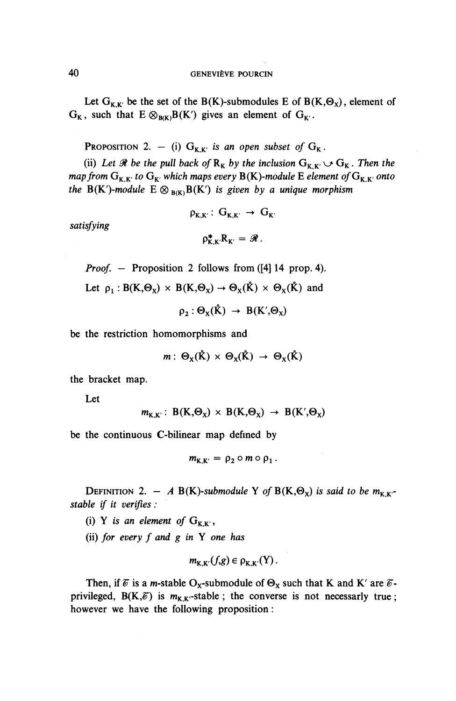Let  $G_{K,K'}$  be the set of the B(K)-submodules E of B(K, $\Theta_X$ ), element of  $G_K$ , such that  $E \otimes_{B/K} B(K')$  gives an element of  $G_{K'}$ .

PROPOSITION 2.  $-$  (i)  $G_{K,K'}$  *is an open subset of*  $G_K$ .

(ii) Let  $\mathcal{R}$  be the pull back of  $R_K$  by the inclusion  $G_{K,K'} \cup G_K$ . Then the *map from*  $G_{K,K'}$  to  $G_{K'}$  which maps every  $B(K)$ -module E element of  $G_{K,K'}$  onto *the*  $B(K')$ -module  $E \otimes_{B(K)} B(K')$  *is given by a unique morphism* 

 $\rho_{\kappa\kappa'}$ :  $G_{\kappa\kappa'} \rightarrow G_{\kappa'}$ 

*satisfying*

$$
\rho_{K,K'}^*R_{K'}=\mathscr{R}.
$$

*Proof.* – Proposition 2 follows from ([4] 14 prop. 4).

Let  $\rho_1 : B(K, \Theta_x) \times B(K, \Theta_x) \to \Theta_x(\mathring{K}) \times \Theta_x(\mathring{K})$  and

 $\rho_2 : \Theta_{\mathbf{v}}(\mathbf{\mathring{K}}) \rightarrow B(\mathbf{K}', \Theta_{\mathbf{v}})$ 

be the restriction homomorphisms and

 $m: \Theta_{\mathbf{x}}(\mathbf{\mathring{K}}) \times \Theta_{\mathbf{x}}(\mathbf{\mathring{K}}) \rightarrow \Theta_{\mathbf{x}}(\mathbf{\mathring{K}})$ 

the bracket map.

Let

$$
m_{K,K'}: B(K,\Theta_X) \times B(K,\Theta_X) \rightarrow B(K',\Theta_X)
$$

be the continuous C-bilinear map defined by

$$
m_{K,K'} = \rho_2 \circ m \circ \rho_1.
$$

**DEFINITION** 2. - A B(K)-submodule Y of B(K, $\Theta_{\chi}$ ) is said to be  $m_{K,K}$ . *stable if it verifies :*

- (i) Y is an element of  $G_{K,K}$ ,
- (ii) /or *every f and g in* Y *one has*

$$
m_{K,K'}(f,g)\in \rho_{K,K'}(Y).
$$

Then, if  $\mathscr{E}$  is a *m*-stable O<sub>x</sub>-submodule of  $\Theta_X$  such that K and K' are  $\mathscr{E}$ privileged,  $B(K,\mathscr{E})$  is  $m_{K,K}$ -stable; the converse is not necessarly true; however we have the following proposition: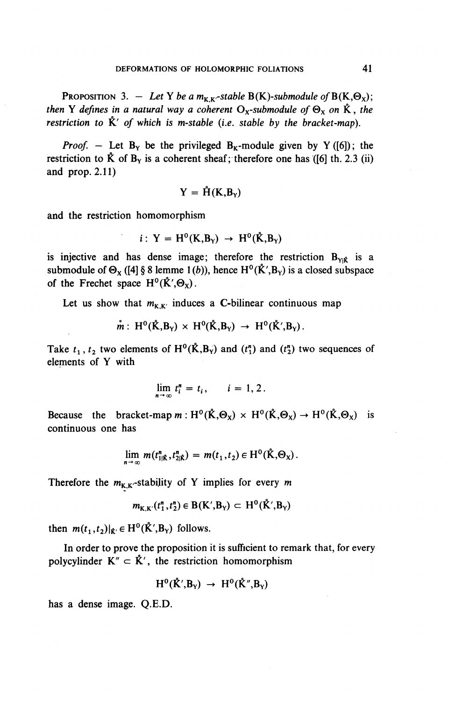**PROPOSITION** 3. – Let Y be a  $m_{K,K}$ -stable B(K)-submodule of B(K, $\Theta_{\chi}$ ); *then* Y defines in a natural way a coherent  $O_x$ -submodule of  $\Theta_x$  on  $\dot{K}$ , the *restriction to*  $\mathring{K}'$  *of which is m-stable (i.e. stable by the bracket-map).* 

*Proof.* – Let  $B_Y$  be the privileged  $B_K$ -module given by Y([6]); the restriction to  $\hat{K}$  of  $B_Y$  is a coherent sheaf; therefore one has ([6] th. 2.3 (ii) and prop. 2.11)

$$
Y = \mathring{H}(K, B_Y)
$$

and the restriction homomorphism

$$
i: Y = H^0(K, B_Y) \rightarrow H^0(\mathring{K}, B_Y)
$$

is injective and has dense image; therefore the restriction  $B_{\text{vir}}$  is a submodule of  $\Theta_X$  ([4] § 8 lemme 1(b)), hence H<sup>o</sup>( $\mathring{K}'$ , B<sub>Y</sub>) is a closed subspace of the Frechet space  $H^0(\mathring{K}',\Theta_{\mathbf{x}})$ .

Let us show that  $m_{K,K'}$  induces a C-bilinear continuous map

$$
\mathring{m}: H^0(\mathring{K},B_Y) \times H^0(\mathring{K},B_Y) \rightarrow H^0(\mathring{K}',B_Y).
$$

Take  $t_1$ ,  $t_2$  two elements of  $H^0(\hat{K},B_Y)$  and  $(t_1^n)$  and  $(t_2^n)$  two sequences of elements of Y with

$$
\lim_{n\to\infty}t_i^n=t_i,\qquad i=1,2.
$$

Because the bracket-map  $m: H^0(\mathring{K}, \Theta_x) \times H^0(\mathring{K}, \Theta_x) \to H^0(\mathring{K}, \Theta_x)$  is continuous one has

$$
\lim_{n\to\infty} m(t_{1\vert\hat{\mathbf{K}}}^n,t_{2\vert\hat{\mathbf{K}}}^n) = m(t_1,t_2) \in \mathrm{H}^0(\hat{\mathbf{K}},\Theta_{\mathbf{X}}).
$$

Therefore the  $m_{K,K}$ -stability of Y implies for every m

$$
m_{K,K'}(t_1'', t_2'') \in B(K', B_Y) \subset H^0(\mathring{K}', B_Y)
$$

then  $m(t_1,t_2)|_{\hat{\mathbf{K}}'} \in \mathrm{H}^0(\hat{\mathbf{K}}',\mathbf{B}_Y)$  follows.

In order to prove the proposition it is sufficient to remark that, for every polycylinder  $K'' \subset \mathring{K}'$ , the restriction homomorphism

$$
H^0(\mathring{K}',B_Y)\ \to\ H^0(\mathring{K}'',B_Y)
$$

has a dense image. Q.E.D.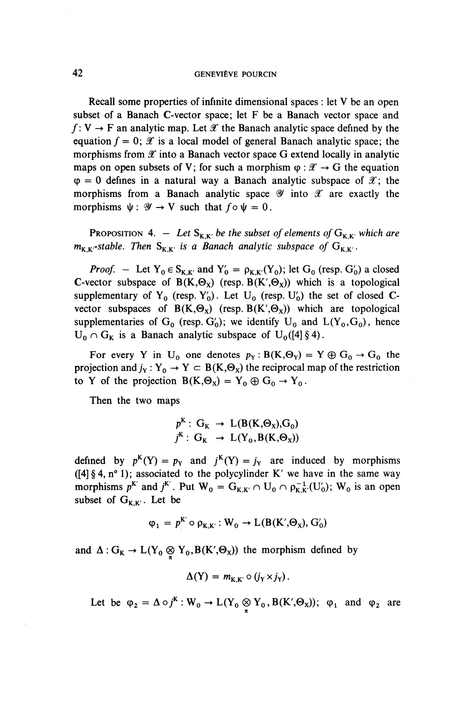Recall some properties of infinite dimensional spaces : let V be an open subset of a Banach C-vector space; let F be a Banach vector space and  $f: V \to F$  an analytic map. Let X the Banach analytic space defined by the equation  $f = 0$ ;  $\mathscr X$  is a local model of general Banach analytic space; the morphisms from  $\mathscr X$  into a Banach vector space G extend locally in analytic maps on open subsets of V; for such a morphism  $\varphi : \mathcal{X} \to G$  the equation  $\varphi = 0$  defines in a natural way a Banach analytic subspace of  $\mathscr{X}$ ; the morphisms from a Banach analytic space  $\mathscr Y$  into  $\mathscr X$  are exactly the morphisms  $\psi: \mathcal{Y} \to V$  such that  $f \circ \psi = 0$ .

**PROPOSITION** 4. – Let  $S_{K,K'}$  be the subset of elements of  $G_{K,K'}$  which are  $m_{K,K}$ -stable. Then  $S_{K,K}$  is a Banach analytic subspace of  $G_{K,K}$ .

*Proof.* - Let  $Y_0 \in S_{K,K'}$  and  $Y'_0 = \rho_{K,K'}(Y_0)$ ; let  $G_0$  (resp.  $G'_0$ ) a closed C-vector subspace of  $B(K,\Theta_x)$  (resp.  $B(K',\Theta_x)$ ) which is a topological supplementary of  $Y_0$  (resp.  $Y'_0$ ). Let  $U_0$  (resp.  $U'_0$ ) the set of closed Cvector subspaces of  $B(K,\Theta_X)$  (resp.  $B(K',\Theta_X)$ ) which are topological supplementaries of  $G_0$  (resp.  $G_0'$ ); we identify  $U_0$  and  $L(Y_0, G_0)$ , hence  $U_0 \cap G_K$  is a Banach analytic subspace of  $U_0([4]\S 4)$ .

For every Y in U<sub>0</sub> one denotes  $p_Y : B(K, \Theta_Y) = Y \oplus G_0 \rightarrow G_0$  the projection and  $j_Y : Y_0 \to Y \subset B(K,\Theta_X)$  the reciprocal map of the restriction to Y of the projection  $B(K,\Theta_X) = Y_0 \oplus G_0 \rightarrow Y_0$ .

Then the two maps

$$
p^{K}: G_{K} \rightarrow L(B(K, \Theta_{X}), G_{0})
$$
  

$$
j^{K}: G_{K} \rightarrow L(Y_{0}, B(K, \Theta_{X}))
$$

defined by  $p^{K}(Y) = p_{Y}$  and  $j^{K}(Y) = j_{Y}$  are induced by morphisms ([4]  $\S$  4, n° 1); associated to the polycylinder K' we have in the same way morphisms  $p^{K'}$  and  $j^{K'}$ . Put  $W_0 = G_{K,K'} \cap U_0 \cap \rho_{K,K'}^{-1}(U'_0); W_0$  is an open subset of  $G_{K,K'}$ . Let be

$$
\varphi_1 = p^{K'} \circ \rho_{K,K'} : W_0 \to L(B(K', \Theta_X), G'_0)
$$

and  $\Delta: G_K \to L(Y_0 \otimes Y_0, B(K', \Theta_X))$  the morphism defined by

$$
\Delta(Y) = m_{K,K'} \circ (j_Y \times j_Y).
$$

Let be  $\varphi_2 = \Delta \circ j^k : W_0 \to L(Y_0 \otimes Y_0, B(K',\Theta_X)); \varphi_1$  and  $\varphi_2$  are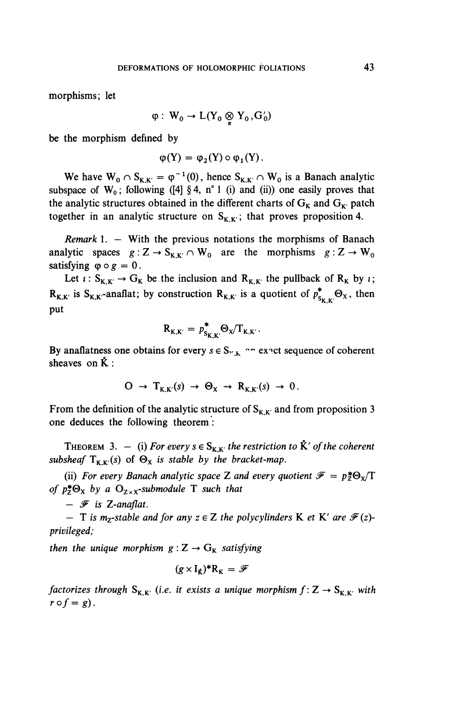morphisms; let

$$
\phi: W_0 \to L(Y_0 \otimes Y_0, G'_0)
$$

be the morphism defined by

$$
\varphi(Y) = \varphi_2(Y) \circ \varphi_1(Y).
$$

We have  $W_0 \cap S_{K,K'} = \varphi^{-1}(0)$ , hence  $S_{K,K'} \cap W_0$  is a Banach analytic subspace of  $W_0$ ; following ([4] § 4, n° 1 (i) and (ii)) one easily proves that the analytic structures obtained in the different charts of  $G_K$  and  $G_{K'}$  patch together in an analytic structure on  $S_{K,K'}$ ; that proves proposition 4.

*Remark 1. —* With the previous notations the morphisms of Banach analytic spaces  $g : Z \to S_{K,K'} \cap W_0$  are the morphisms  $g : Z \to W_0$ satisfying  $\varphi \circ g = 0$ .

Let  $\iota$ :  $S_{K,K'} \to G_K$  be the inclusion and  $R_{K,K'}$  the pullback of  $R_K$  by *i*;  $R_{K,K'}$  is  $S_{K,K'}$ -anaflat; by construction  $R_{K,K'}$  is a quotient of  $p_{S_{K,K'}}^* \Theta_X$ , then put

$$
R_{K,K'} = p_{S_{K,K'}}^* \Theta_X / T_{K,K'}.
$$

By anaflatness one obtains for every  $s \in S_{r,k}$  ^ " ex^ct sequence of coherent sheaves on  $\mathring{K}$ :

$$
O \rightarrow T_{K,K'}(s) \rightarrow \Theta_X \rightarrow R_{K,K'}(s) \rightarrow 0.
$$

From the definition of the analytic structure of  $S_{K,K'}$  and from proposition 3 one deduces the following theorem:

THEOREM 3.  $-$  (i) For every  $s \in S_{K,K'}$  the restriction to  $\mathring{K}'$  of the coherent subsheaf  $T_{K,K'}(s)$  of  $\Theta_X$  is stable by the bracket-map.

(ii) For every Banach analytic space Z and every quotient  $\mathscr{F} = p_z^* \Theta_x/\Gamma$ *of p* $\sharp \Theta_{\chi}$  *by a*  $\Theta_{\chi}$ <sub>x</sub>-submodule T such that

*- y is Z-anaflat.*

*—* T is m<sub>z</sub>-stable and for any  $z \in \mathbb{Z}$  the polycylinders **K** et **K**<sup>*'*</sup> are  $\mathcal{F}(z)$ *privileged;*

*then the unique morphism*  $g: Z \rightarrow G_K$  *satisfying* 

$$
(g \times I_{\hat{K}})^* R_K = \mathscr{F}
$$

*factorizes through*  $S_{K,K'}$  (*i.e. it exists a unique morphism*  $f: Z \to S_{K,K'}$  *with*  $r \circ f = g$ .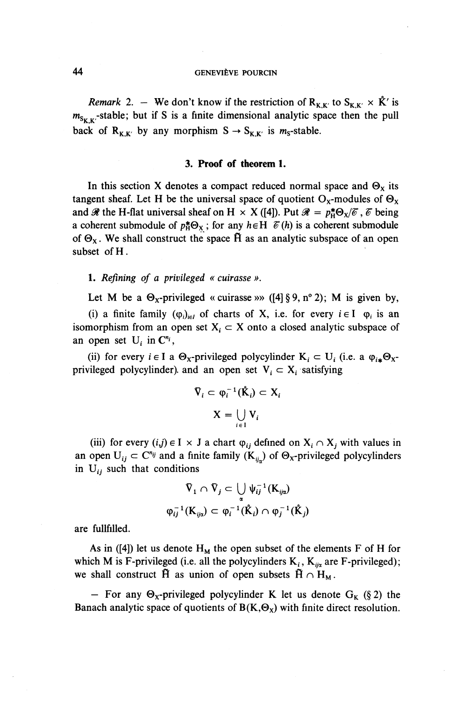*Remark* 2. – We don't know if the restriction of  $R_{K,K'}$  to  $S_{K,K'} \times \mathring{K}'$  is  $m_{S_{\kappa\kappa}}$ -stable; but if S is a finite dimensional analytic space then the pull back of  $R_{K,K'}$  by any morphism  $S \rightarrow S_{K,K'}$  is m<sub>s</sub>-stable.

#### **3. Proof of theorem 1.**

In this section X denotes a compact reduced normal space and  $\Theta_x$  its tangent sheaf. Let H be the universal space of quotient  $O_X$ -modules of  $\Theta_X$ and  $\mathscr{R}$  the H-flat universal sheaf on H  $\times$  X ([4]). Put  $\mathscr{R} = p^*_{\rm H} \Theta_{\rm X}/\overline{\sigma}$ ,  $\overline{\sigma}$  being a coherent submodule of  $p_{\text{H}}^* \Theta_{\text{X}}$ ; for any  $h \in H$   $\mathcal{C}(h)$  is a coherent submodule of  $\Theta_X$ . We shall construct the space  $\tilde{H}$  as an analytic subspace of an open subset of H.

#### 1. *Refining of a privileged « cuirasse ».*

Let M be a  $\Theta_x$ -privileged « cuirasse »» ([4] § 9, n° 2); M is given by,

(i) a finite family  $(\varphi_i)_{i \in I}$  of charts of X, i.e. for every  $i \in I$   $\varphi_i$  is an isomorphism from an open set  $X_i \subset X$  onto a closed analytic subspace of an open set  $U_i$  in  $C^{n_i}$ .

(ii) for every  $i \in I$  a  $\Theta_x$ -privileged polycylinder  $K_i \subset U_i$  (i.e. a  $\varphi_{i*} \Theta_x$ privileged polycylinder). and an open set  $V_i \subset X_i$  satisfying

$$
\nabla_i \subset \varphi_i^{-1}(\mathbf{\hat{K}}_i) \subset \mathbf{X}_i
$$

$$
\mathbf{X} = \bigcup_{i \in I} \mathbf{V}_i
$$

(iii) for every  $(i,j) \in I \times J$  a chart  $\varphi_{ij}$  defined on  $X_i \cap X_j$  with values in an open  $U_{ij} \subset C^{n_{ij}}$  and a finite family  $(K_{ij})$  of  $\Theta_X$ -privileged polycylinders in  $U_{ij}$  such that conditions

$$
\begin{aligned}\n\nabla_1 \cap \nabla_j & \subset \bigcup_{\alpha} \psi_{ij}^{-1}(\mathbf{K}_{ij\alpha}) \\
\varphi_{ij}^{-1}(\mathbf{K}_{ij\alpha}) & \subset \varphi_i^{-1}(\mathbf{K}_i) \cap \varphi_j^{-1}(\mathbf{K}_j)\n\end{aligned}
$$

are fullfilled.

As in ([4]) let us denote  $H<sub>M</sub>$  the open subset of the elements F of H for which M is F-privileged (i.e. all the polycylinders  $K_i$ ,  $K_{ij\alpha}$  are F-privileged); we shall construct  $\hat{H}$  as union of open subsets  $\hat{H} \cap H_M$ .

- For any  $\Theta_x$ -privileged polycylinder K let us denote  $G_K$  (§ 2) the Banach analytic space of quotients of  $B(K,\Theta_X)$  with finite direct resolution.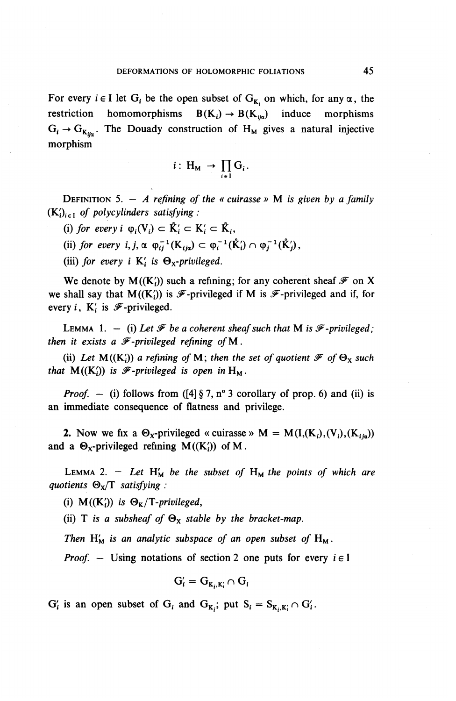For every  $i \in I$  let  $G_i$  be the open subset of  $G_{K_i}$  on which, for any  $\alpha$ , the restriction homomorphisms  $B(K_i) \rightarrow B(K_{i\alpha})$  induce morphisms  $G_i \rightarrow G_{K_{i\omega}}$ . The Douady construction of H<sub>M</sub> gives a natural injective morphism

$$
i: H_M \to \prod_{i \in I} G_i.
$$

DEFINITION 5. — *A refining of the « cuirasse »* M *is given by a family*  $(K_i)_{i \in I}$  of polycylinders satisfying:

(i) for every  $i \varphi_i(V_i) \subset \mathring{K}_i' \subset K_i' \subset \mathring{K}_i$ ,

(ii) for every  $i, j, \alpha \varphi_{ij}^{-1}(\mathbf{K}_{ij\alpha}) \subset \varphi_i^{-1}(\mathbf{K}_i) \cap \varphi_j^{-1}(\mathbf{K}_j),$ 

(iii) for every i  $K_i'$  is  $\Theta_X$ -privileged.

We denote by  $M((K_i))$  such a refining; for any coherent sheaf  $\mathcal F$  on X we shall say that  $M((K_i))$  is  $\mathscr{F}$ -privileged if M is  $\mathscr{F}$ -privileged and if, for every *i*,  $K_i$  is  $\mathscr{F}$ -privileged.

LEMMA 1.  $-$  (i) Let  $\mathcal F$  be a coherent sheaf such that M is  $\mathcal F$ -privileged; *then it exists a*  $\mathcal{F}\text{-}privileged$  *refining of M.* 

(ii) Let  $M(K_i)$  a refining of M; then the set of quotient  $\mathscr{F}$  of  $\Theta_X$  such *that*  $M((K_i'))$  *is*  $\mathscr{F}$ *-privileged is open in*  $H_M$ .

*Proof.* - (i) follows from  $([4] \S 7, n^{\circ} 3$  corollary of prop. 6) and (ii) is an immediate consequence of flatness and privilege.

2. Now we fix a  $\Theta_X$ -privileged « cuirasse » M = M(I,(K<sub>i</sub>),(V<sub>i</sub>),(K<sub>iin</sub>)) and a  $\Theta_x$ -privileged refining M((K;)) of M.

LEMMA 2. - Let  $H'_M$  be the subset of  $H_M$  the points of which are *quotients* **©x/T** *satisfying :*

(i)  $M((K_i))$  is  $\Theta_K/T$ -privileged,

(ii) T is a subsheaf of  $\Theta_{x}$  stable by the bracket-map.

*Then*  $H'_M$  *is an analytic subspace of an open subset of*  $H_M$ .

*Proof. —* Using notations of section 2 one puts for every *i* e I

$$
G'_i = G_{K_i, K'_i} \cap G_i
$$

 $G'_i$  is an open subset of  $G_i$  and  $G_{K_i}$ ; put  $S_i = S_{K_i,K'_i} \cap G'_i$ .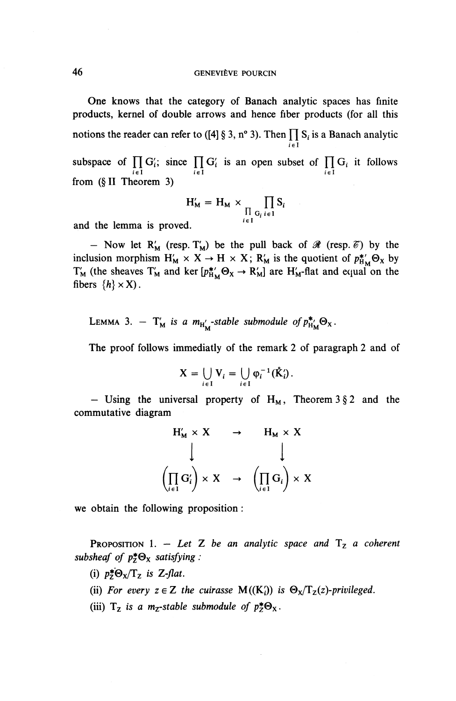**One** knows that the category of Banach analytic spaces has finite products, kernel of double arrows and hence fiber products (for all this notions the reader can refer to ([4] § 3, n° 3). Then  $\prod S_i$  is a Banach analytic  $i \in I$ subspace of  $\prod_{i \in I} G_i$ ; since  $\prod_{i \in I} G_i$  is an open subset of  $\prod_{i \in I} G_i$  it follows from (§11 Theorem 3)

$$
H'_{M} = H_{M} \times \prod_{\substack{\prod_{i \in I} G_{i}}} \prod_{i \in I} S_{i}
$$

and the lemma is proved.

- Now let R<sub>M</sub> (resp. T<sub>M</sub>) be the pull back of  $\mathcal{R}$  (resp.  $\mathcal{C}$ ) by the inclusion morphism  $H'_M \times X \to H \times X$ ;  $R'_M$  is the quotient of  $p^{*}_{H_M} \Theta_X$  by  $T'_M$  (the sheaves  $T'_M$  and ker  $[p_{H_M}^* \Theta_X \to R'_M]$  are  $H'_M$ -flat and equation the fibers  $\{h\} \times X$ ).

LEMMA 3.  $T'_M$  *is a*  $m_{H'_M}$ -stable submodule of  $p_{H'_M}^* \Theta_X$ .

The proof follows immediatly of the remark 2 of paragraph 2 and of

$$
X = \bigcup_{i \in I} V_i = \bigcup_{i \in I} \varphi_i^{-1}(\mathring{K}'_i).
$$

- Using the universal property of  $H_M$ , Theorem 3 § 2 and the commutative diagram

$$
\begin{array}{ccc}\nH'_{M} \times X & \to & H_{M} \times X \\
\downarrow & & \downarrow \\
\left(\prod_{i \in I} G'_{i}\right) \times X & \to & \left(\prod_{i \in I} G_{i}\right) \times X\n\end{array}
$$

we obtain the following proposition:

**PROPOSITION** 1. – Let Z be an analytic space and  $T_z$  a coherent subsheaf of  $p^*_{\mathsf{Z}} \Theta_{\mathsf{X}}$  satisfying :

- (i)  $p^*_{\mathcal{Z}} \Theta_{\mathbf{X}} / \mathbf{T}_{\mathbf{Z}}$  is Z-flat.
- (ii) For every  $z \in \mathbb{Z}$  the cuirasse  $M((K_i))$  is  $\Theta_X/T_Z(z)$ -privileged.
- (iii)  $T_z$  is a m<sub>z</sub>-stable submodule of  $p^*_z \Theta_x$ .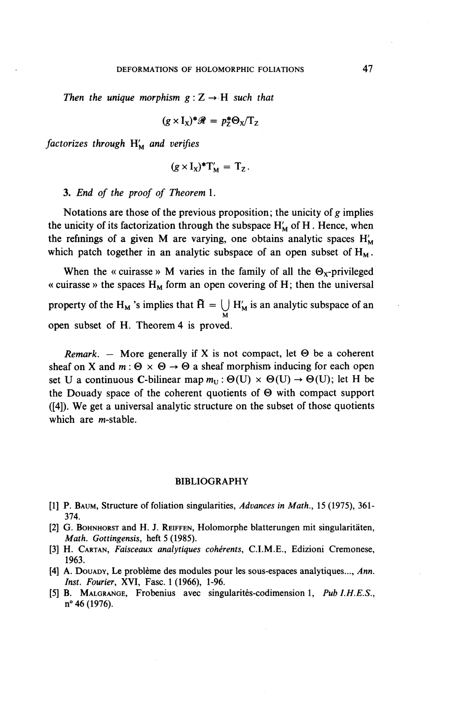*Then the unique morphism*  $g: Z \rightarrow H$  *such that* 

$$
(g \times I_X)^* \mathscr{R} = p_Z^* \Theta_X / T_Z
$$

*factorizes through* H^ *and verifies*

$$
(g \times I_X)^*T'_M = T_Z.
$$

3. *End of the proof of Theorem* 1.

Notations are those of the previous proposition; the unicity *of g* implies the unicity of its factorization through the subspace  $H'_{M}$  of H. Hence, when the refinings of a given M are varying, one obtains analytic spaces  $H'_{M}$ which patch together in an analytic subspace of an open subset of  $H<sub>M</sub>$ .

When the « cuirasse » M varies in the family of all the  $\Theta_X$ -privileged « cuirasse » the spaces  $H_M$  form an open covering of H; then the universal property of the H<sub>M</sub> 's implies that  $\widetilde{H} = \bigcup_{M} H'_{M}$  is an analytic subspace of an open subset of H. Theorem 4 is proved.

*Remark.* – More generally if X is not compact, let  $\Theta$  be a coherent sheaf on X and  $m: \Theta \times \Theta \rightarrow \Theta$  a sheaf morphism inducing for each open set U a continuous C-bilinear map  $m_U : \Theta(U) \times \Theta(U) \rightarrow \Theta(U)$ ; let H be the Douady space of the coherent quotients of  $\Theta$  with compact support ([4]). We get a universal analytic structure on the subset of those quotients which are  $m$ -stable.

#### BIBLIOGRAPHY

- [1] P. BAUM, Structure of foliation singularities, Advances in Math., 15 (1975), 361-374.
- [2] G. BOHNHORST and H. J. REIFFEN, Holomorphe blatterungen mit singularitaten, *Math. Gottingensis,* heft 5 (1985).
- [3] H. CARTAN, *Faisceaux analytiques coherents,* **C.I.M.E.,** Edizioni Cremonese, 1963.
- [4] A. DOUADY, Le probleme des modules pour les sous-espaces analytiques..., *Ann. Inst. Fourier,* **XVI,** Fasc. 1 (1966), 1-96.
- [5] B. MALGRANGE, Frobenius avec singularités-codimension 1, Pub I.H.E.S. *n* 46 (1976).